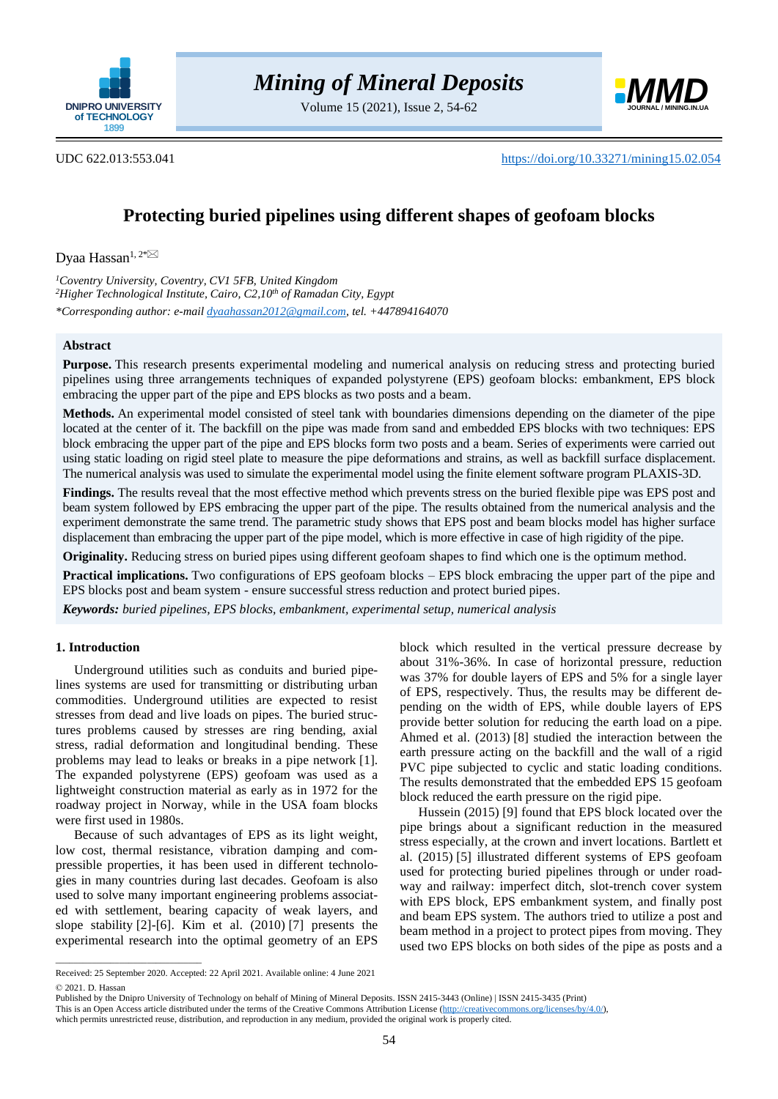

Volume 15 (2021), Issue 2, 54-62



UDC 622.013:553.041 <https://doi.org/10.33271/mining15.02.054>

# **Protecting buried pipelines using different shapes of geofoam blocks**

Dyaa Hassan<sup>1,2[\\*](mailto:dyaahassan2012@gmail.com) $\boxtimes$ </sup>

*<sup>1</sup>Coventry University, Coventry, CV1 5FB, United Kingdom <sup>2</sup>Higher Technological Institute, Cairo, C2,10th of Ramadan City, Egypt \*Corresponding author: e-mail [dyaahassan2012@gmail.com,](mailto:dyaahassan2012@gmail.com) tel. +447894164070*

# **Abstract**

**Purpose.** This research presents experimental modeling and numerical analysis on reducing stress and protecting buried pipelines using three arrangements techniques of expanded polystyrene (EPS) geofoam blocks: embankment, EPS block embracing the upper part of the pipe and EPS blocks as two posts and a beam.

**Methods.** An experimental model consisted of steel tank with boundaries dimensions depending on the diameter of the pipe located at the center of it. The backfill on the pipe was made from sand and embedded EPS blocks with two techniques: EPS block embracing the upper part of the pipe and EPS blocks form two posts and a beam. Series of experiments were carried out using static loading on rigid steel plate to measure the pipe deformations and strains, as well as backfill surface displacement. The numerical analysis was used to simulate the experimental model using the finite element software program PLAXIS-3D.

**Findings.** The results reveal that the most effective method which prevents stress on the buried flexible pipe was EPS post and beam system followed by EPS embracing the upper part of the pipe. The results obtained from the numerical analysis and the experiment demonstrate the same trend. The parametric study shows that EPS post and beam blocks model has higher surface displacement than embracing the upper part of the pipe model, which is more effective in case of high rigidity of the pipe.

**Originality.** Reducing stress on buried pipes using different geofoam shapes to find which one is the optimum method.

**Practical implications.** Two configurations of EPS geofoam blocks – EPS block embracing the upper part of the pipe and EPS blocks post and beam system - ensure successful stress reduction and protect buried pipes.

*Keywords: buried pipelines, EPS blocks, embankment, experimental setup, numerical analysis*

# **1. Introduction**

Underground utilities such as conduits and buried pipelines systems are used for transmitting or distributing urban commodities. Underground utilities are expected to resist stresses from dead and live loads on pipes. The buried structures problems caused by stresses are ring bending, axial stress, radial deformation and longitudinal bending. These problems may lead to leaks or breaks in a pipe network [\[1\].](#page-7-0) The expanded polystyrene (EPS) geofoam was used as a lightweight construction material as early as in 1972 for the roadway project in Norway, while in the USA foam blocks were first used in 1980s.

Because of such advantages of EPS as its light weight, low cost, thermal resistance, vibration damping and compressible properties, it has been used in different technologies in many countries during last decades. Geofoam is also used to solve many important engineering problems associated with settlement, bearing capacity of weak layers, and slope stability [\[2\]](#page-7-1)[-\[6\].](#page-7-2) Kim et al. (2010) [\[7\]](#page-7-3) presents the experimental research into the optimal geometry of an EPS

block which resulted in the vertical pressure decrease by about 31%-36%. In case of horizontal pressure, reduction was 37% for double layers of EPS and 5% for a single layer of EPS, respectively. Thus, the results may be different depending on the width of EPS, while double layers of EPS provide better solution for reducing the earth load on a pipe. Ahmed et al. (2013) [\[8\]](#page-7-4) studied the interaction between the earth pressure acting on the backfill and the wall of a rigid PVC pipe subjected to cyclic and static loading conditions. The results demonstrated that the embedded EPS 15 geofoam block reduced the earth pressure on the rigid pipe.

Hussein (2015) [\[9\]](#page-7-5) found that EPS block located over the pipe brings about a significant reduction in the measured stress especially, at the crown and invert locations. Bartlett et al. (2015) [\[5\]](#page-7-6) illustrated different systems of EPS geofoam used for protecting buried pipelines through or under roadway and railway: imperfect ditch, slot-trench cover system with EPS block, EPS embankment system, and finally post and beam EPS system. The authors tried to utilize a post and beam method in a project to protect pipes from moving. They used two EPS blocks on both sides of the pipe as posts and a

 $\overline{\phantom{a}}$  ,  $\overline{\phantom{a}}$  ,  $\overline{\phantom{a}}$  ,  $\overline{\phantom{a}}$  ,  $\overline{\phantom{a}}$  ,  $\overline{\phantom{a}}$  ,  $\overline{\phantom{a}}$  ,  $\overline{\phantom{a}}$  ,  $\overline{\phantom{a}}$  ,  $\overline{\phantom{a}}$  ,  $\overline{\phantom{a}}$  ,  $\overline{\phantom{a}}$  ,  $\overline{\phantom{a}}$  ,  $\overline{\phantom{a}}$  ,  $\overline{\phantom{a}}$  ,  $\overline{\phantom{a}}$ 

Received: 25 September 2020. Accepted: 22 April 2021. Available online: 4 June 2021 © 2021. D. Hassan

Published by the Dnipro University of Technology on behalf of Mining of Mineral Deposits. ISSN 2415-3443 (Online) | ISSN 2415-3435 (Print)

This is an Open Access article distributed under the terms of the Creative Commons Attribution License [\(http://creativecommons.org/licenses/by/4.0/\)](http://creativecommons.org/licenses/by/4.0/),

which permits unrestricted reuse, distribution, and reproduction in any medium, provided the original work is properly cited.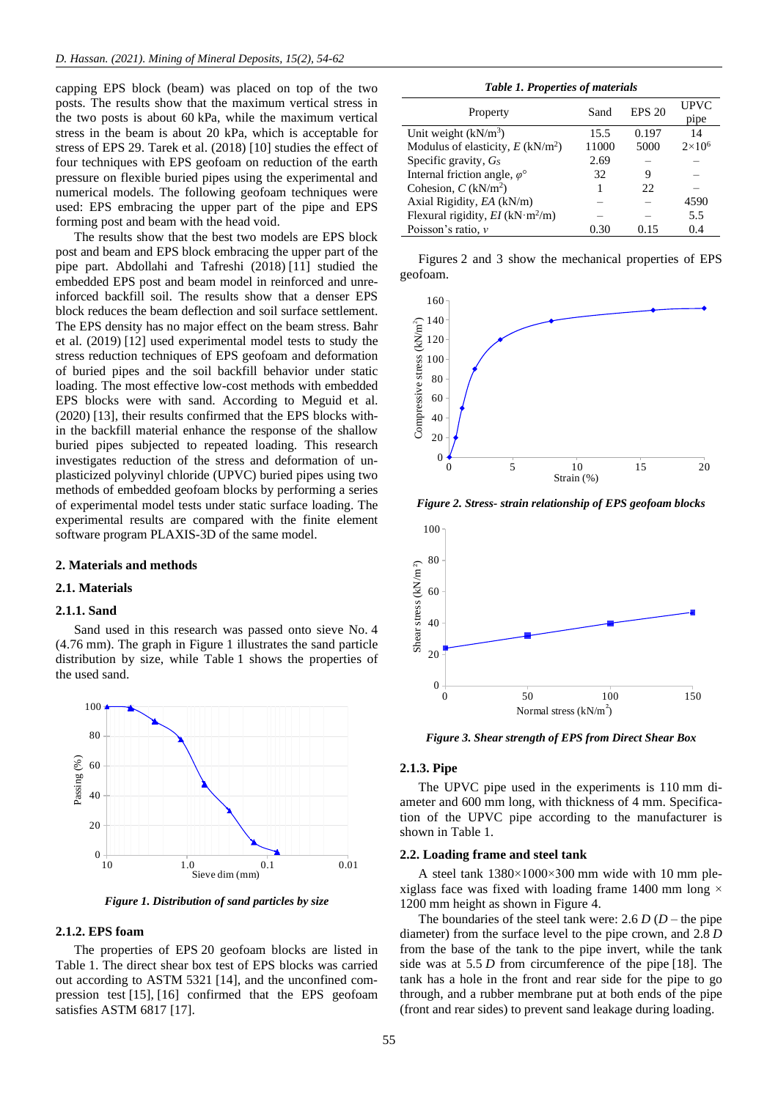capping EPS block (beam) was placed on top of the two posts. The results show that the maximum vertical stress in the two posts is about 60 kPa, while the maximum vertical stress in the beam is about 20 kPa, which is acceptable for stress of EPS 29. Tarek et al. (2018) [\[10\]](#page-7-7) studies the effect of four techniques with EPS geofoam on reduction of the earth pressure on flexible buried pipes using the experimental and numerical models. The following geofoam techniques were used: EPS embracing the upper part of the pipe and EPS forming post and beam with the head void.

The results show that the best two models are EPS block post and beam and EPS block embracing the upper part of the pipe part. Abdollahi and Tafreshi (2018) [\[11\]](#page-7-8) studied the embedded EPS post and beam model in reinforced and unreinforced backfill soil. The results show that a denser EPS block reduces the beam deflection and soil surface settlement. The EPS density has no major effect on the beam stress. Bahr et al. (2019) [\[12\]](#page-7-9) used experimental model tests to study the stress reduction techniques of EPS geofoam and deformation of buried pipes and the soil backfill behavior under static loading. The most effective low-cost methods with embedded EPS blocks were with sand. According to Meguid et al. (2020) [\[13\],](#page-7-10) their results confirmed that the EPS blocks within the backfill material enhance the response of the shallow buried pipes subjected to repeated loading. This research investigates reduction of the stress and deformation of unplasticized polyvinyl chloride (UPVC) buried pipes using two methods of embedded geofoam blocks by performing a series of experimental model tests under static surface loading. The experimental results are compared with the finite element software program PLAXIS-3D of the same model.

# **2. Materials and methods**

## **2.1. Materials**

## **2.1.1. Sand**

Sand used in this research was passed onto sieve No. 4 (4.76 mm). The graph in Figure 1 illustrates the sand particle distribution by size, while Table 1 shows the properties of the used sand.



*Figure 1. Distribution of sand particles by size*

# **2.1.2. EPS foam**

The properties of EPS 20 geofoam blocks are listed in Table 1. The direct shear box test of EPS blocks was carried out according to ASTM 5321 [\[14\],](#page-7-11) and the unconfined compression test [\[15\],](#page-7-12) [\[16\]](#page-7-13) confirmed that the EPS geofoam satisfies ASTM 6817 [\[17\].](#page-7-14)

*Table 1. Properties of materials*

| Property                                       | Sand  | <b>EPS 20</b> | UPVC          |
|------------------------------------------------|-------|---------------|---------------|
|                                                |       |               | pipe          |
| Unit weight $(kN/m3)$                          | 15.5  | 0.197         | 14            |
| Modulus of elasticity, $E(kN/m^2)$             | 11000 | 5000          | $2\times10^6$ |
| Specific gravity, $G_s$                        | 2.69  |               |               |
| Internal friction angle, $\varphi^{\circ}$     | 32    | 9             |               |
| Cohesion, $C$ (kN/m <sup>2</sup> )             |       | 22            |               |
| Axial Rigidity, EA (kN/m)                      |       |               | 4590          |
| Flexural rigidity, $EI$ (kN·m <sup>2</sup> /m) |       |               | 5.5           |
| Poisson's ratio, $\nu$                         | 0.30  | 0.15          | 0.4           |
|                                                |       |               |               |

Figures 2 and 3 show the mechanical properties of EPS geofoam.



*Figure 2. Stress- strain relationship of EPS geofoam blocks*



*Figure 3. Shear strength of EPS from Direct Shear Box*

## **2.1.3. Pipe**

The UPVC pipe used in the experiments is 110 mm diameter and 600 mm long, with thickness of 4 mm. Specification of the UPVC pipe according to the manufacturer is shown in Table 1.

## **2.2. Loading frame and steel tank**

A steel tank 1380×1000×300 mm wide with 10 mm plexiglass face was fixed with loading frame 1400 mm long  $\times$ 1200 mm height as shown in Figure 4.

The boundaries of the steel tank were: 2.6  $D$  ( $D$  – the pipe diameter) from the surface level to the pipe crown, and 2.8 *D* from the base of the tank to the pipe invert, while the tank side was at 5.5 *D* from circumference of the pipe [\[18\].](#page-7-15) The tank has a hole in the front and rear side for the pipe to go through, and a rubber membrane put at both ends of the pipe (front and rear sides) to prevent sand leakage during loading.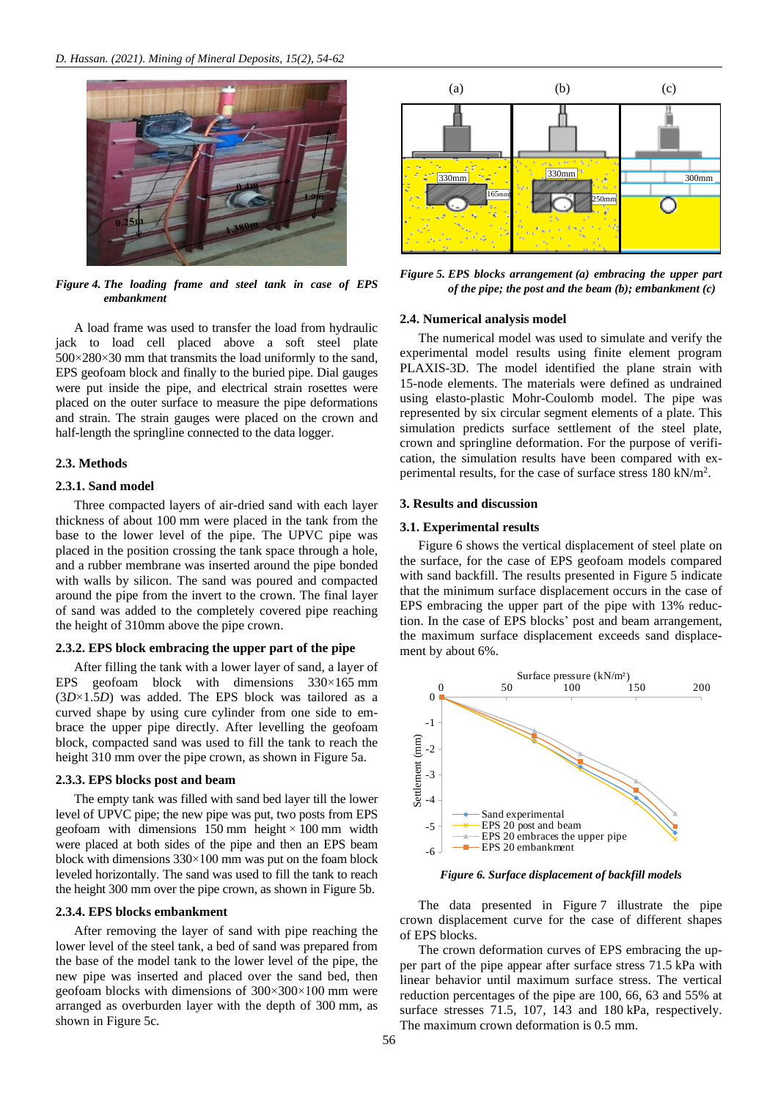

*Figure 4. The loading frame and steel tank in case of EPS embankment*

A load frame was used to transfer the load from hydraulic jack to load cell placed above a soft steel plate 500×280×30 mm that transmits the load uniformly to the sand, EPS geofoam block and finally to the buried pipe. Dial gauges were put inside the pipe, and electrical strain rosettes were placed on the outer surface to measure the pipe deformations and strain. The strain gauges were placed on the crown and half-length the springline connected to the data logger.

# **2.3. Methods**

## **2.3.1. Sand model**

Three compacted layers of air-dried sand with each layer thickness of about 100 mm were placed in the tank from the base to the lower level of the pipe. The UPVC pipe was placed in the position crossing the tank space through a hole, and a rubber membrane was inserted around the pipe bonded with walls by silicon. The sand was poured and compacted around the pipe from the invert to the crown. The final layer of sand was added to the completely covered pipe reaching the height of 310mm above the pipe crown.

# **2.3.2. EPS block embracing the upper part of the pipe**

After filling the tank with a lower layer of sand, a layer of EPS geofoam block with dimensions 330×165 mm (3*D*×1.5*D*) was added. The EPS block was tailored as a curved shape by using cure cylinder from one side to embrace the upper pipe directly. After levelling the geofoam block, compacted sand was used to fill the tank to reach the height 310 mm over the pipe crown, as shown in Figure 5a.

# **2.3.3. EPS blocks post and beam**

The empty tank was filled with sand bed layer till the lower level of UPVC pipe; the new pipe was put, two posts from EPS geofoam with dimensions  $150 \text{ mm}$  height  $\times 100 \text{ mm}$  width were placed at both sides of the pipe and then an EPS beam block with dimensions  $330\times100$  mm was put on the foam block leveled horizontally. The sand was used to fill the tank to reach the height 300 mm over the pipe crown, as shown in Figure 5b.

# **2.3.4. EPS blocks embankment**

After removing the layer of sand with pipe reaching the lower level of the steel tank, a bed of sand was prepared from the base of the model tank to the lower level of the pipe, the new pipe was inserted and placed over the sand bed, then geofoam blocks with dimensions of 300×300×100 mm were arranged as overburden layer with the depth of 300 mm, as shown in Figure 5c.



*Figure 5. EPS blocks arrangement (a) embracing the upper part of the pipe; the post and the beam (b); embankment (c)*

# **2.4. Numerical analysis model**

The numerical model was used to simulate and verify the experimental model results using finite element program PLAXIS-3D. The model identified the plane strain with 15-node elements. The materials were defined as undrained using elasto-plastic Mohr-Coulomb model. The pipe was represented by six circular segment elements of a plate. This simulation predicts surface settlement of the steel plate, crown and springline deformation. For the purpose of verification, the simulation results have been compared with experimental results, for the case of surface stress 180 kN/m<sup>2</sup>.

#### **3. Results and discussion**

#### **3.1. Experimental results**

Figure 6 shows the vertical displacement of steel plate on the surface, for the case of EPS geofoam models compared with sand backfill. The results presented in Figure 5 indicate that the minimum surface displacement occurs in the case of EPS embracing the upper part of the pipe with 13% reduction. In the case of EPS blocks' post and beam arrangement, the maximum surface displacement exceeds sand displacement by about 6%.



*Figure 6. Surface displacement of backfill models*

The data presented in Figure 7 illustrate the pipe crown displacement curve for the case of different shapes of EPS blocks.

The crown deformation curves of EPS embracing the upper part of the pipe appear after surface stress 71.5 kPa with linear behavior until maximum surface stress. The vertical reduction percentages of the pipe are 100, 66, 63 and 55% at surface stresses 71.5, 107, 143 and 180 kPa, respectively. The maximum crown deformation is 0.5 mm.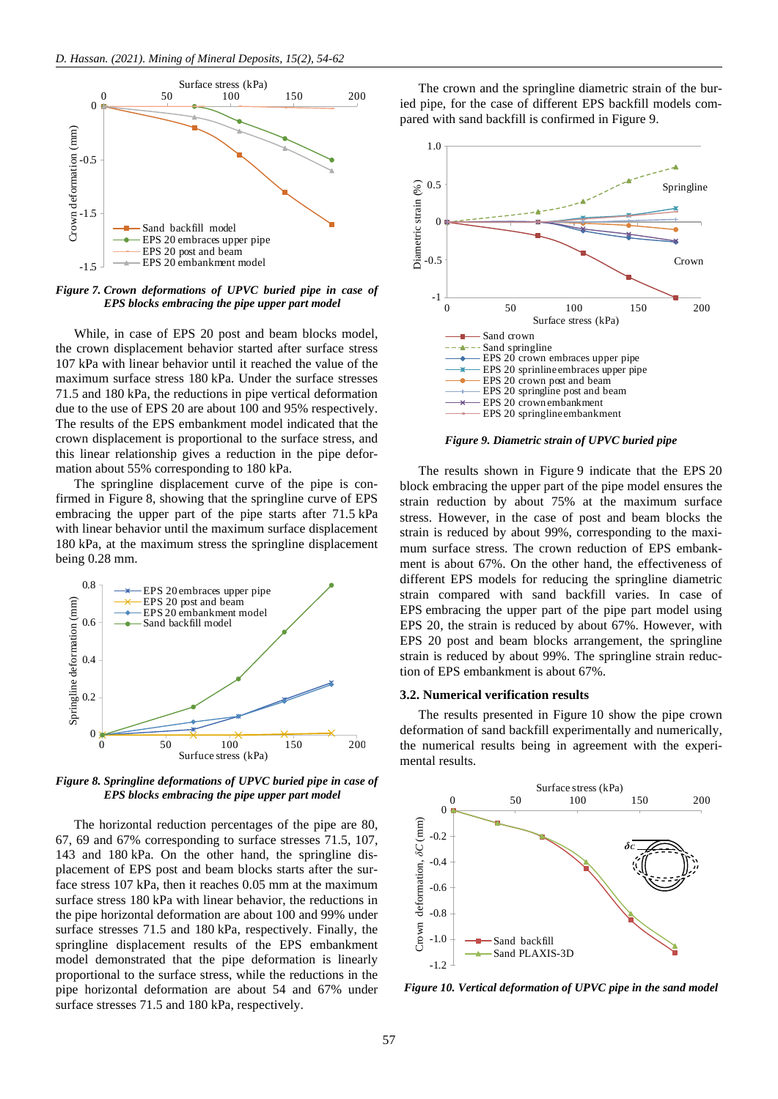

*Figure 7. Crown deformations of UPVC buried pipe in case of EPS blocks embracing the pipe upper part model*

While, in case of EPS 20 post and beam blocks model, the crown displacement behavior started after surface stress 107 kPa with linear behavior until it reached the value of the maximum surface stress 180 kPa. Under the surface stresses 71.5 and 180 kPa, the reductions in pipe vertical deformation due to the use of EPS 20 are about 100 and 95% respectively. The results of the EPS embankment model indicated that the crown displacement is proportional to the surface stress, and this linear relationship gives a reduction in the pipe deformation about 55% corresponding to 180 kPa.

The springline displacement curve of the pipe is confirmed in Figure 8, showing that the springline curve of EPS embracing the upper part of the pipe starts after 71.5 kPa with linear behavior until the maximum surface displacement 180 kPa, at the maximum stress the springline displacement being 0.28 mm.



*Figure 8. Springline deformations of UPVC buried pipe in case of EPS blocks embracing the pipe upper part model*

The horizontal reduction percentages of the pipe are 80, 67, 69 and 67% corresponding to surface stresses 71.5, 107, 143 and 180 kPa. On the other hand, the springline displacement of EPS post and beam blocks starts after the surface stress 107 kPa, then it reaches 0.05 mm at the maximum surface stress 180 kPa with linear behavior, the reductions in the pipe horizontal deformation are about 100 and 99% under surface stresses 71.5 and 180 kPa, respectively. Finally, the springline displacement results of the EPS embankment model demonstrated that the pipe deformation is linearly proportional to the surface stress, while the reductions in the pipe horizontal deformation are about 54 and 67% under surface stresses 71.5 and 180 kPa, respectively.

The crown and the springline diametric strain of the buried pipe, for the case of different EPS backfill models compared with sand backfill is confirmed in Figure 9.



*Figure 9. Diametric strain of UPVC buried pipe*

The results shown in Figure 9 indicate that the EPS 20 block embracing the upper part of the pipe model ensures the strain reduction by about 75% at the maximum surface stress. However, in the case of post and beam blocks the strain is reduced by about 99%, corresponding to the maximum surface stress. The crown reduction of EPS embankment is about 67%. On the other hand, the effectiveness of different EPS models for reducing the springline diametric strain compared with sand backfill varies. In case of EPS embracing the upper part of the pipe part model using EPS 20, the strain is reduced by about 67%. However, with EPS 20 post and beam blocks arrangement, the springline strain is reduced by about 99%. The springline strain reduction of EPS embankment is about 67%.

## **3.2. Numerical verification results**

The results presented in Figure 10 show the pipe crown deformation of sand backfill experimentally and numerically, the numerical results being in agreement with the experimental results.



*Figure 10. Vertical deformation of UPVC pipe in the sand model*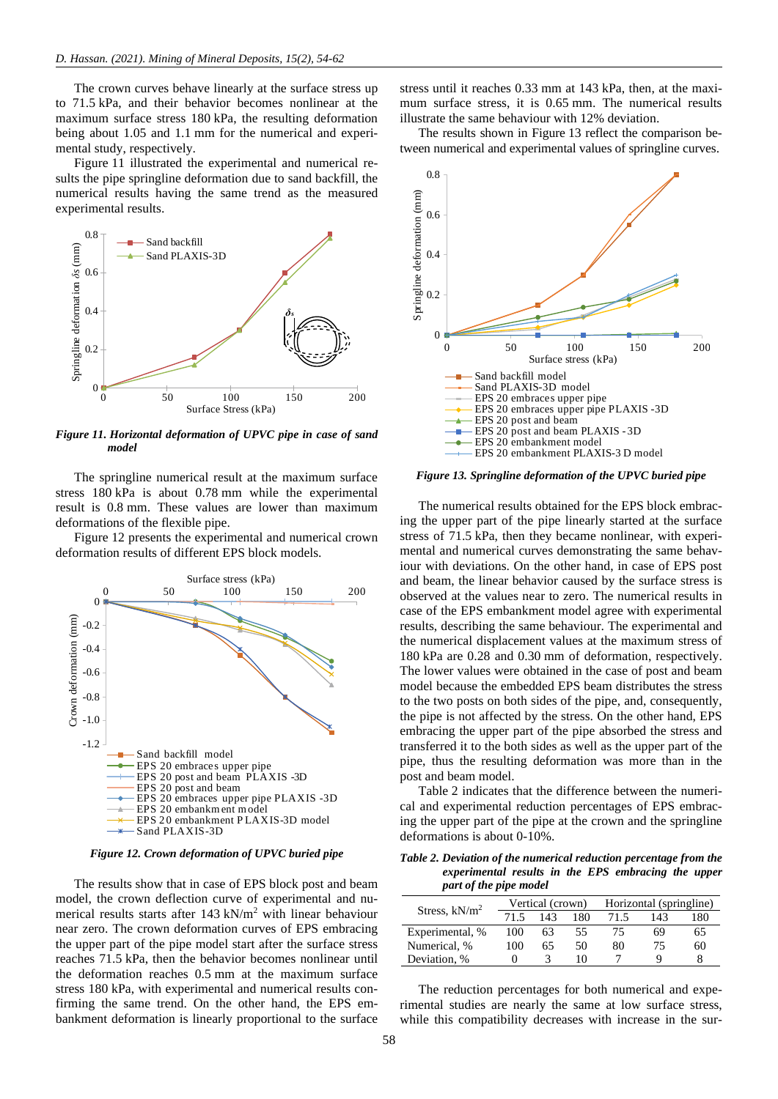The crown curves behave linearly at the surface stress up to 71.5 kPa, and their behavior becomes nonlinear at the maximum surface stress 180 kPa, the resulting deformation being about 1.05 and 1.1 mm for the numerical and experimental study, respectively.

Figure 11 illustrated the experimental and numerical results the pipe springline deformation due to sand backfill, the numerical results having the same trend as the measured experimental results.



*Figure 11. Horizontal deformation of UPVC pipe in case of sand model*

The springline numerical result at the maximum surface stress 180 kPa is about 0.78 mm while the experimental result is 0.8 mm. These values are lower than maximum deformations of the flexible pipe.

Figure 12 presents the experimental and numerical crown deformation results of different EPS block models.



*Figure 12. Crown deformation of UPVC buried pipe*

The results show that in case of EPS block post and beam model, the crown deflection curve of experimental and numerical results starts after 143 kN/m<sup>2</sup> with linear behaviour near zero. The crown deformation curves of EPS embracing the upper part of the pipe model start after the surface stress reaches 71.5 kPa, then the behavior becomes nonlinear until the deformation reaches 0.5 mm at the maximum surface stress 180 kPa, with experimental and numerical results confirming the same trend. On the other hand, the EPS embankment deformation is linearly proportional to the surface

stress until it reaches 0.33 mm at 143 kPa, then, at the maximum surface stress, it is 0.65 mm. The numerical results illustrate the same behaviour with 12% deviation.

The results shown in Figure 13 reflect the comparison between numerical and experimental values of springline curves.



*Figure 13. Springline deformation of the UPVC buried pipe*

The numerical results obtained for the EPS block embracing the upper part of the pipe linearly started at the surface stress of 71.5 kPa, then they became nonlinear, with experimental and numerical curves demonstrating the same behaviour with deviations. On the other hand, in case of EPS post and beam, the linear behavior caused by the surface stress is observed at the values near to zero. The numerical results in case of the EPS embankment model agree with experimental results, describing the same behaviour. The experimental and the numerical displacement values at the maximum stress of 180 kPa are 0.28 and 0.30 mm of deformation, respectively. The lower values were obtained in the case of post and beam model because the embedded EPS beam distributes the stress to the two posts on both sides of the pipe, and, consequently, the pipe is not affected by the stress. On the other hand, EPS embracing the upper part of the pipe absorbed the stress and transferred it to the both sides as well as the upper part of the pipe, thus the resulting deformation was more than in the post and beam model.

Table 2 indicates that the difference between the numerical and experimental reduction percentages of EPS embracing the upper part of the pipe at the crown and the springline deformations is about 0-10%.

*Table 2. Deviation of the numerical reduction percentage from the experimental results in the EPS embracing the upper part of the pipe model*

|                  |      | Vertical (crown) |     | Horizontal (springline) |     |     |
|------------------|------|------------------|-----|-------------------------|-----|-----|
| Stress, $kN/m^2$ | 71.5 | 143              | 180 | 71.5                    | 143 | 180 |
| Experimental, %  | 100  | 63               | 55  | 75                      | 69  | 65  |
| Numerical, %     | 100  | 65               | 50  | 80                      | 75  | 60  |
| Deviation, %     | 0    |                  | 10  |                         | Q   |     |

The reduction percentages for both numerical and experimental studies are nearly the same at low surface stress, while this compatibility decreases with increase in the sur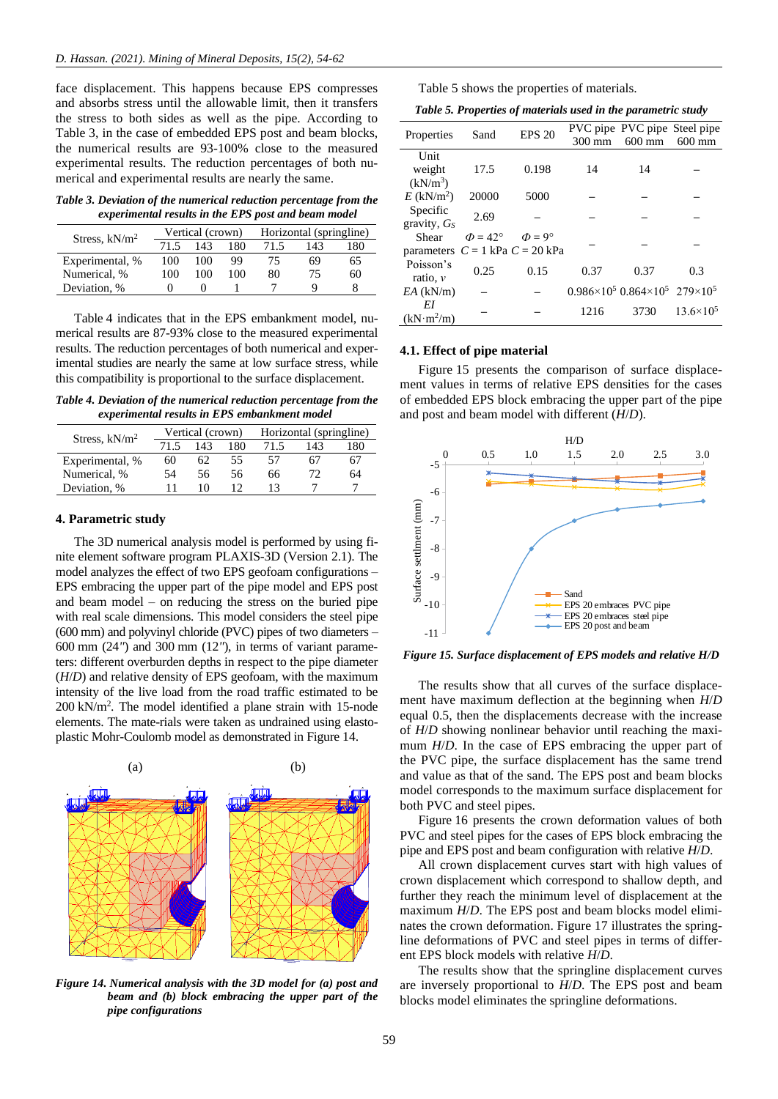face displacement. This happens because EPS compresses and absorbs stress until the allowable limit, then it transfers the stress to both sides as well as the pipe. According to Table 3, in the case of embedded EPS post and beam blocks, the numerical results are 93-100% close to the measured experimental results. The reduction percentages of both numerical and experimental results are nearly the same.

*Table 3. Deviation of the numerical reduction percentage from the experimental results in the EPS post and beam model*

|                  |      | Vertical (crown) |     | Horizontal (springline) |     |     |
|------------------|------|------------------|-----|-------------------------|-----|-----|
| Stress, $kN/m^2$ | 71.5 | 143              | 180 | 71.5                    | 143 | 180 |
| Experimental, %  | 100  | 100              | 99  | 75                      | 69  | 65  |
| Numerical, %     | 100  | 100              | 100 | 80                      | 75  | 60  |
| Deviation, %     |      |                  |     |                         |     |     |

Table 4 indicates that in the EPS embankment model, numerical results are 87-93% close to the measured experimental results. The reduction percentages of both numerical and experimental studies are nearly the same at low surface stress, while this compatibility is proportional to the surface displacement.

*Table 4. Deviation of the numerical reduction percentage from the experimental results in EPS embankment model*

| Stress, $kN/m^2$ |      | Vertical (crown) |     | Horizontal (springline) |     |     |
|------------------|------|------------------|-----|-------------------------|-----|-----|
|                  | 71.5 | 143              | 180 | 71.5                    | 143 | 180 |
| Experimental, %  | 60   | 62               | 55  | 57                      | 67  | 67  |
| Numerical, %     | 54   | 56               | 56  | 66                      | 72. | 64  |
| Deviation, %     |      | 10               |     |                         |     |     |

# **4. Parametric study**

The 3D numerical analysis model is performed by using finite element software program PLAXIS-3D (Version 2.1). The model analyzes the effect of two EPS geofoam configurations – EPS embracing the upper part of the pipe model and EPS post and beam model – on reducing the stress on the buried pipe with real scale dimensions. This model considers the steel pipe (600 mm) and polyvinyl chloride (PVC) pipes of two diameters – 600 mm (24*"*) and 300 mm (12*"*), in terms of variant parameters: different overburden depths in respect to the pipe diameter (*H*/*D*) and relative density of EPS geofoam, with the maximum intensity of the live load from the road traffic estimated to be 200 kN/m<sup>2</sup> . The model identified a plane strain with 15-node elements. The mate-rials were taken as undrained using elastoplastic Mohr-Coulomb model as demonstrated in Figure 14.



*Figure 14. Numerical analysis with the 3D model for (a) post and beam and (b) block embracing the upper part of the pipe configurations*

|  |  |  | Table 5 shows the properties of materials. |  |  |
|--|--|--|--------------------------------------------|--|--|
|--|--|--|--------------------------------------------|--|--|

| Table 5. Properties of materials used in the parametric study |  |  |  |  |  |
|---------------------------------------------------------------|--|--|--|--|--|
|---------------------------------------------------------------|--|--|--|--|--|

| Properties                          | Sand                | <b>EPS 20</b>      |        | PVC pipe PVC pipe Steel pipe                         |                    |
|-------------------------------------|---------------------|--------------------|--------|------------------------------------------------------|--------------------|
|                                     |                     |                    | 300 mm | $600$ mm                                             | $600$ mm           |
| Unit                                |                     |                    |        |                                                      |                    |
| weight                              | 17.5                | 0.198              | 14     | 14                                                   |                    |
| $(kN/m^3)$                          |                     |                    |        |                                                      |                    |
| $E$ (kN/m <sup>2</sup> )            | 20000               | 5000               |        |                                                      |                    |
| Specific                            | 2.69                |                    |        |                                                      |                    |
| gravity, $G_s$                      |                     |                    |        |                                                      |                    |
| Shear                               | $\Phi = 42^{\circ}$ | $\Phi = 9^{\circ}$ |        |                                                      |                    |
| parameters $C = 1$ kPa $C = 20$ kPa |                     |                    |        |                                                      |                    |
| Poisson's                           | 0.25                | 0.15               | 0.37   | 0.37                                                 | 0.3                |
| ratio, $\nu$                        |                     |                    |        |                                                      |                    |
| $EA$ (kN/m)                         |                     |                    |        | $0.986\times10^5$ $0.864\times10^5$ 279 $\times10^5$ |                    |
| EΙ                                  |                     |                    | 1216   | 3730                                                 | $13.6\times10^{5}$ |
| (kN·m <sup>2</sup> /m)              |                     |                    |        |                                                      |                    |

## **4.1. Effect of pipe material**

Figure 15 presents the comparison of surface displacement values in terms of relative EPS densities for the cases of embedded EPS block embracing the upper part of the pipe and post and beam model with different (*H*/*D*).



*Figure 15. Surface displacement of EPS models and relative H/D*

The results show that all curves of the surface displacement have maximum deflection at the beginning when *H*/*D* equal 0.5, then the displacements decrease with the increase of *H*/*D* showing nonlinear behavior until reaching the maximum *H*/*D*. In the case of EPS embracing the upper part of the PVC pipe, the surface displacement has the same trend and value as that of the sand. The EPS post and beam blocks model corresponds to the maximum surface displacement for both PVC and steel pipes.

Figure 16 presents the crown deformation values of both PVC and steel pipes for the cases of EPS block embracing the pipe and EPS post and beam configuration with relative *H*/*D*.

All crown displacement curves start with high values of crown displacement which correspond to shallow depth, and further they reach the minimum level of displacement at the maximum *H*/*D*. The EPS post and beam blocks model eliminates the crown deformation. Figure 17 illustrates the springline deformations of PVC and steel pipes in terms of different EPS block models with relative *H*/*D*.

The results show that the springline displacement curves are inversely proportional to *H*/*D*. The EPS post and beam blocks model eliminates the springline deformations.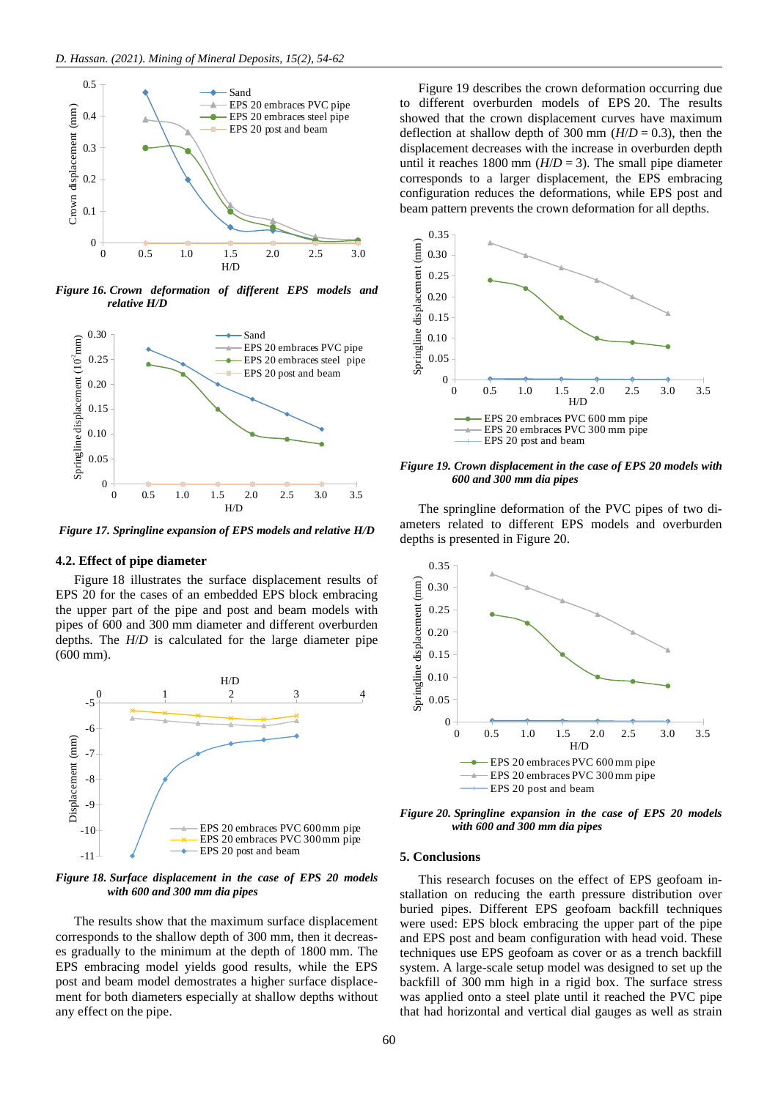

*Figure 16. Crown deformation of different EPS models and relative H/D*



*Figure 17. Springline expansion of EPS models and relative H/D*

# **4.2. Effect of pipe diameter**

Figure 18 illustrates the surface displacement results of EPS 20 for the cases of an embedded EPS block embracing the upper part of the pipe and post and beam models with pipes of 600 and 300 mm diameter and different overburden depths. The *H*/*D* is calculated for the large diameter pipe (600 mm).



*Figure 18. Surface displacement in the case of EPS 20 models with 600 and 300 mm dia pipes*

The results show that the maximum surface displacement corresponds to the shallow depth of 300 mm, then it decreases gradually to the minimum at the depth of 1800 mm. The EPS embracing model yields good results, while the EPS post and beam model demostrates a higher surface displacement for both diameters especially at shallow depths without any effect on the pipe.

Figure 19 describes the crown deformation occurring due to different overburden models of EPS 20. The results showed that the crown displacement curves have maximum deflection at shallow depth of 300 mm  $(H/D = 0.3)$ , then the displacement decreases with the increase in overburden depth until it reaches 1800 mm  $(H/D = 3)$ . The small pipe diameter corresponds to a larger displacement, the EPS embracing configuration reduces the deformations, while EPS post and beam pattern prevents the crown deformation for all depths.



*Figure 19. Crown displacement in the case of EPS 20 models with 600 and 300 mm dia pipes*

The springline deformation of the PVC pipes of two diameters related to different EPS models and overburden depths is presented in Figure 20.



*Figure 20. Springline expansion in the case of EPS 20 models with 600 and 300 mm dia pipes*

# **5. Conclusions**

This research focuses on the effect of EPS geofoam installation on reducing the earth pressure distribution over buried pipes. Different EPS geofoam backfill techniques were used: EPS block embracing the upper part of the pipe and EPS post and beam configuration with head void. These techniques use EPS geofoam as cover or as a trench backfill system. A large-scale setup model was designed to set up the backfill of 300 mm high in a rigid box. The surface stress was applied onto a steel plate until it reached the PVC pipe that had horizontal and vertical dial gauges as well as strain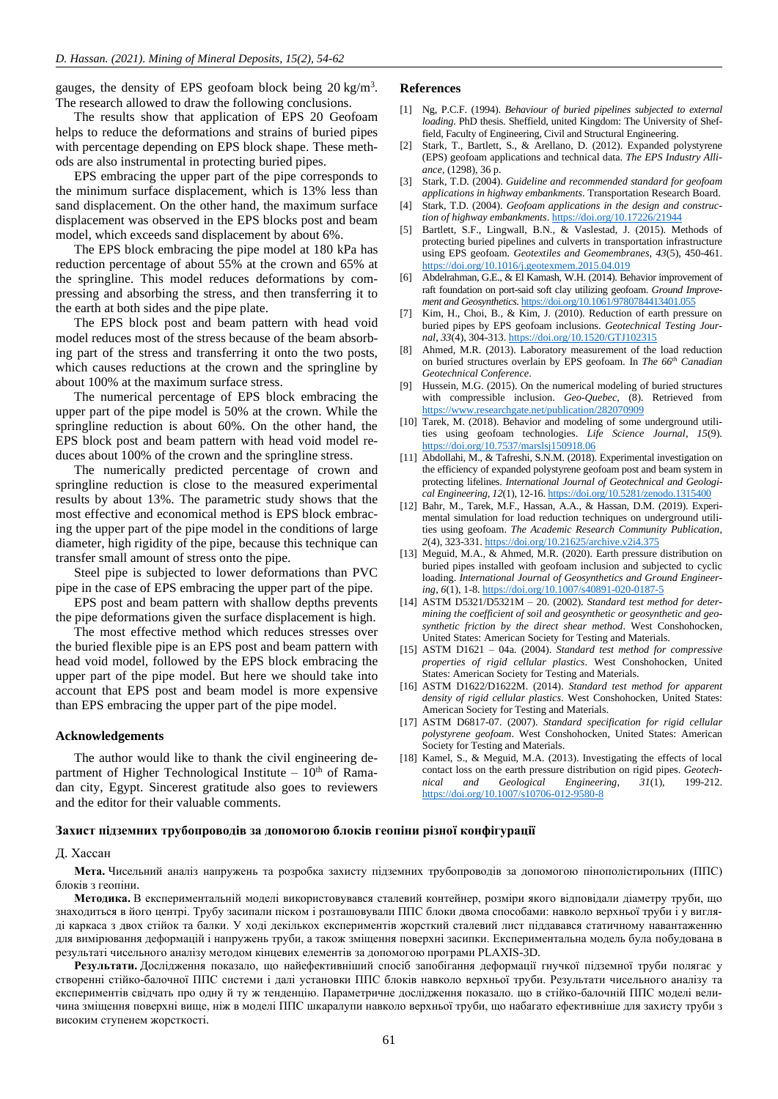gauges, the density of EPS geofoam block being  $20 \text{ kg/m}^3$ . The research allowed to draw the following conclusions.

The results show that application of EPS 20 Geofoam helps to reduce the deformations and strains of buried pipes with percentage depending on EPS block shape. These methods are also instrumental in protecting buried pipes.

EPS embracing the upper part of the pipe corresponds to the minimum surface displacement, which is 13% less than sand displacement. On the other hand, the maximum surface displacement was observed in the EPS blocks post and beam model, which exceeds sand displacement by about 6%.

The EPS block embracing the pipe model at 180 kPa has reduction percentage of about 55% at the crown and 65% at the springline. This model reduces deformations by compressing and absorbing the stress, and then transferring it to the earth at both sides and the pipe plate.

The EPS block post and beam pattern with head void model reduces most of the stress because of the beam absorbing part of the stress and transferring it onto the two posts, which causes reductions at the crown and the springline by about 100% at the maximum surface stress.

The numerical percentage of EPS block embracing the upper part of the pipe model is 50% at the crown. While the springline reduction is about 60%. On the other hand, the EPS block post and beam pattern with head void model reduces about 100% of the crown and the springline stress.

The numerically predicted percentage of crown and springline reduction is close to the measured experimental results by about 13%. The parametric study shows that the most effective and economical method is EPS block embracing the upper part of the pipe model in the conditions of large diameter, high rigidity of the pipe, because this technique can transfer small amount of stress onto the pipe.

Steel pipe is subjected to lower deformations than PVC pipe in the case of EPS embracing the upper part of the pipe.

EPS post and beam pattern with shallow depths prevents the pipe deformations given the surface displacement is high.

The most effective method which reduces stresses over the buried flexible pipe is an EPS post and beam pattern with head void model, followed by the EPS block embracing the upper part of the pipe model. But here we should take into account that EPS post and beam model is more expensive than EPS embracing the upper part of the pipe model.

## **Acknowledgements**

The author would like to thank the civil engineering department of Higher Technological Institute  $-10<sup>th</sup>$  of Ramadan city, Egypt. Sincerest gratitude also goes to reviewers and the editor for their valuable comments.

# **References**

- <span id="page-7-0"></span>[1] Ng, P.C.F. (1994). *Behaviour of buried pipelines subjected to external loading*. PhD thesis. Sheffield, united Kingdom: The University of Sheffield, Faculty of Engineering, Civil and Structural Engineering.
- <span id="page-7-1"></span>[2] Stark, T., Bartlett, S., & Arellano, D. (2012). Expanded polystyrene (EPS) geofoam applications and technical data. *The EPS Industry Alliance*, (1298), 36 p.
- [3] Stark, T.D. (2004). *Guideline and recommended standard for geofoam applications in highway embankments*. Transportation Research Board.
- [4] Stark, T.D. (2004). *Geofoam applications in the design and construction of highway embankments*[. https://doi.org/10.17226/21944](https://doi.org/10.17226/21944)
- <span id="page-7-6"></span>[5] Bartlett, S.F., Lingwall, B.N., & Vaslestad, J. (2015). Methods of protecting buried pipelines and culverts in transportation infrastructure using EPS geofoam. *Geotextiles and Geomembranes*, *43*(5), 450-461. <https://doi.org/10.1016/j.geotexmem.2015.04.019>
- <span id="page-7-2"></span>[6] Abdelrahman, G.E., & El Kamash, W.H. (2014). Behavior improvement of raft foundation on port-said soft clay utilizing geofoam. *Ground Improvement and Geosynthetics*[. https://doi.org/10.1061/9780784413401.055](https://doi.org/10.1061/9780784413401.055)
- <span id="page-7-3"></span>[7] Kim, H., Choi, B., & Kim, J. (2010). Reduction of earth pressure on buried pipes by EPS geofoam inclusions. *Geotechnical Testing Journal*, *33*(4), 304-313[. https://doi.org/10.1520/GTJ102315](https://doi.org/10.1520/GTJ102315)
- <span id="page-7-4"></span>[8] Ahmed, M.R. (2013). Laboratory measurement of the load reduction on buried structures overlain by EPS geofoam. In *The 66th Canadian Geotechnical Conference*.
- <span id="page-7-5"></span>[9] Hussein, M.G. (2015). On the numerical modeling of buried structures with compressible inclusion. *Geo-Quebec*, (8). Retrieved from <https://www.researchgate.net/publication/282070909>
- <span id="page-7-7"></span>[10] Tarek, M. (2018). Behavior and modeling of some underground utilities using geofoam technologies. *Life Science Journal*, *15*(9). <https://doi.org/10.7537/marslsj150918.06>
- <span id="page-7-8"></span>[11] Abdollahi, M., & Tafreshi, S.N.M. (2018). Experimental investigation on the efficiency of expanded polystyrene geofoam post and beam system in protecting lifelines. *International Journal of Geotechnical and Geological Engineering*, *12*(1), 12-16[. https://doi.org/10.5281/zenodo.1315400](https://doi.org/10.5281/zenodo.1315400)
- <span id="page-7-9"></span>[12] Bahr, M., Tarek, M.F., Hassan, A.A., & Hassan, D.M. (2019). Experimental simulation for load reduction techniques on underground utilities using geofoam. *The Academic Research Community Publication*, *2*(4), 323-331[. https://doi.org/10.21625/archive.v2i4.375](https://doi.org/10.21625/archive.v2i4.375)
- <span id="page-7-10"></span>[13] Meguid, M.A., & Ahmed, M.R. (2020). Earth pressure distribution on buried pipes installed with geofoam inclusion and subjected to cyclic loading. *International Journal of Geosynthetics and Ground Engineering*, *6*(1), 1-8[. https://doi.org/10.1007/s40891-020-0187-5](https://doi.org/10.1007/s40891-020-0187-5)
- <span id="page-7-11"></span>[14] ASTM D5321/D5321M – 20. (2002). *Standard test method for determining the coefficient of soil and geosynthetic or geosynthetic and geosynthetic friction by the direct shear method*. West Conshohocken, United States: American Society for Testing and Materials.
- <span id="page-7-12"></span>[15] ASTM D1621 – 04a. (2004). *Standard test method for compressive properties of rigid cellular plastics*. West Conshohocken, United States: American Society for Testing and Materials.
- <span id="page-7-13"></span>[16] ASTM D1622/D1622M. (2014). *Standard test method for apparent density of rigid cellular plastics*. West Conshohocken, United States: American Society for Testing and Materials.
- <span id="page-7-14"></span>[17] ASTM D6817-07. (2007). *Standard specification for rigid cellular polystyrene geofoam*. West Conshohocken, United States: American Society for Testing and Materials.
- <span id="page-7-15"></span>[18] Kamel, S., & Meguid, M.A. (2013). Investigating the effects of local contact loss on the earth pressure distribution on rigid pipes. *Geotechnical and Geological Engineering*, *31*(1), 199-212. <https://doi.org/10.1007/s10706-012-9580-8>

## **Захист підземних трубопроводів за допомогою блоків геопіни різної конфігурації**

## Д. Хассан

**Мета.** Чисельний аналіз напружень та розробка захисту підземних трубопроводів за допомогою пінополістирольних (ППС) блоків з геопіни.

**Методика.** В експериментальній моделі використовувався сталевий контейнер, розміри якого відповідали діаметру труби, що знаходиться в його центрі. Трубу засипали піском і розташовували ППС блоки двома способами: навколо верхньої труби і у вигляді каркаса з двох стійок та балки. У ході декількох експериментів жорсткий сталевий лист піддавався статичному навантаженню для вимірювання деформацій і напружень труби, а також зміщення поверхні засипки. Експериментальна модель була побудована в результаті чисельного аналізу методом кінцевих елементів за допомогою програми PLAXIS-3D.

**Результати.** Дослідження показало, що найефективніший спосіб запобігання деформації гнучкої підземної труби полягає у створенні стійко-балочної ППС системи і далі установки ППС блоків навколо верхньої труби. Результати чисельного аналізу та експериментів свідчать про одну й ту ж тенденцію. Параметричне дослідження показало. що в стійко-балочній ППС моделі величина зміщення поверхні вище, ніж в моделі ППС шкаралупи навколо верхньої труби, що набагато ефективніше для захисту труби з високим ступенем жорсткості.